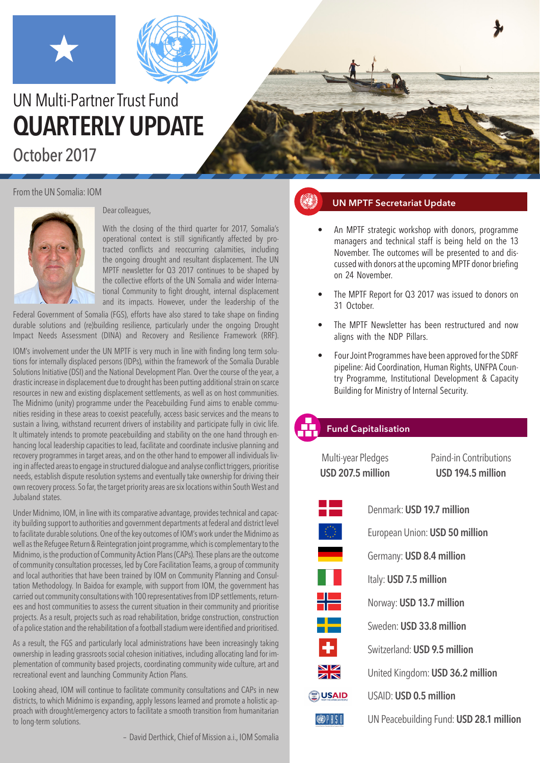



# UN Multi-Partner Trust Fund **QUARTERLY UPDATE** October 2017

From the UN Somalia: IOM



Dear colleagues,

With the closing of the third quarter for 2017, Somalia's operational context is still significantly affected by protracted conflicts and reoccurring calamities, including the ongoing drought and resultant displacement. The UN MPTF newsletter for Q3 2017 continues to be shaped by the collective efforts of the UN Somalia and wider International Community to fight drought, internal displacement and its impacts. However, under the leadership of the

Federal Government of Somalia (FGS), efforts have also stared to take shape on finding durable solutions and (re)building resilience, particularly under the ongoing Drought Impact Needs Assessment (DINA) and Recovery and Resilience Framework (RRF).

IOM's involvement under the UN MPTF is very much in line with finding long term solutions for internally displaced persons (IDPs), within the framework of the Somalia Durable Solutions Initiative (DSI) and the National Development Plan. Over the course of the year, a drastic increase in displacement due to drought has been putting additional strain on scarce resources in new and existing displacement settlements, as well as on host communities. The Midnimo (unity) programme under the Peacebuilding Fund aims to enable communities residing in these areas to coexist peacefully, access basic services and the means to sustain a living, withstand recurrent drivers of instability and participate fully in civic life. It ultimately intends to promote peacebuilding and stability on the one hand through enhancing local leadership capacities to lead, facilitate and coordinate inclusive planning and recovery programmes in target areas, and on the other hand to empower all individuals living in affected areas to engage in structured dialogue and analyse conflict triggers, prioritise needs, establish dispute resolution systems and eventually take ownership for driving their own recovery process. So far, the target priority areas are six locations within South West and Jubaland states.

Under Midnimo, IOM, in line with its comparative advantage, provides technical and capacity building support to authorities and government departments at federal and district level to facilitate durable solutions. One of the key outcomes of IOM's work under the Midnimo as well as the Refugee Return & Reintegration joint programme, which is complementary to the Midnimo, is the production of Community Action Plans (CAPs). These plans are the outcome of community consultation processes, led by Core Facilitation Teams, a group of community and local authorities that have been trained by IOM on Community Planning and Consultation Methodology. In Baidoa for example, with support from IOM, the government has carried out community consultations with 100 representatives from IDP settlements, returnees and host communities to assess the current situation in their community and prioritise projects. As a result, projects such as road rehabilitation, bridge construction, construction of a police station and the rehabilitation of a football stadium were identified and prioritised.

As a result, the FGS and particularly local administrations have been increasingly taking ownership in leading grassroots social cohesion initiatives, including allocating land for implementation of community based projects, coordinating community wide culture, art and recreational event and launching Community Action Plans.

Looking ahead, IOM will continue to facilitate community consultations and CAPs in new districts, to which Midnimo is expanding, apply lessons learned and promote a holistic approach with drought/emergency actors to facilitate a smooth transition from humanitarian to long-term solutions.

– David Derthick, Chief of Mission a.i., IOM Somalia

# **UN MPTF Secretariat Update**

- An MPTF strategic workshop with donors, programme managers and technical staff is being held on the 13 November. The outcomes will be presented to and discussed with donors at the upcoming MPTF donor briefing on 24 November.
- The MPTF Report for Q3 2017 was issued to donors on 31 October.
- The MPTF Newsletter has been restructured and now aligns with the NDP Pillars.
- Four Joint Programmes have been approved for the SDRF pipeline: Aid Coordination, Human Rights, UNFPA Country Programme, Institutional Development & Capacity Building for Ministry of Internal Security.

# **Fund Capitalisation**

Multi-year Pledges Paind-in Contributions **USD 207.5 million USD 194.5 million** Denmark: **USD 19.7 million** European Union: **USD 50 million** Germany: **USD 8.4 million** Italy: **USD 7.5 million** Norway: **USD 13.7 million** Sweden: **USD 33.8 million** Switzerland: **USD 9.5 million** United Kingdom: **USD 36.2 million BUSAID** USAID: **USD 0.5 million OPISI** UN Peacebuilding Fund: **USD 28.1 million**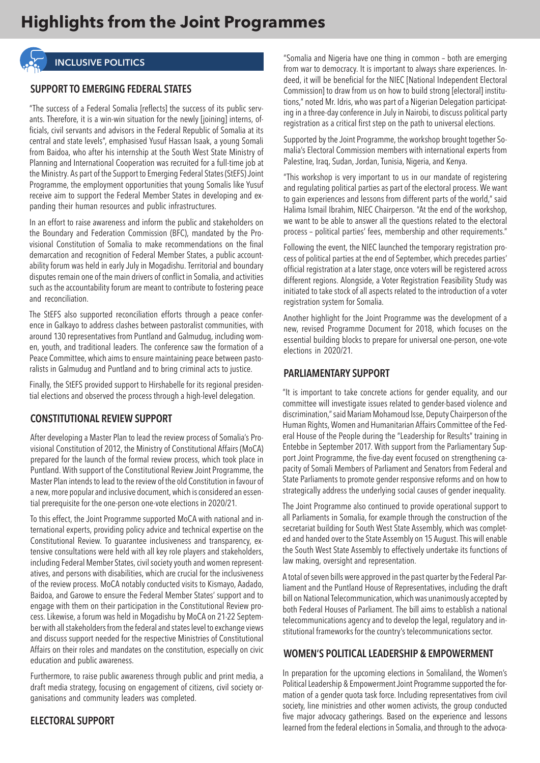

## **INCLUSIVE POLITICS**

## **SUPPORT TO EMERGING FEDERAL STATES**

"The success of a Federal Somalia [reflects] the success of its public servants. Therefore, it is a win-win situation for the newly [joining] interns, officials, civil servants and advisors in the Federal Republic of Somalia at its central and state levels", emphasised Yusuf Hassan Isaak, a young Somali from Baidoa, who after his internship at the South West State Ministry of Planning and International Cooperation was recruited for a full-time job at the Ministry. As part of the Support to Emerging Federal States (StEFS) Joint Programme, the employment opportunities that young Somalis like Yusuf receive aim to support the Federal Member States in developing and expanding their human resources and public infrastructures.

In an effort to raise awareness and inform the public and stakeholders on the Boundary and Federation Commission (BFC), mandated by the Provisional Constitution of Somalia to make recommendations on the final demarcation and recognition of Federal Member States, a public accountability forum was held in early July in Mogadishu. Territorial and boundary disputes remain one of the main drivers of conflict in Somalia, and activities such as the accountability forum are meant to contribute to fostering peace and reconciliation.

The StEFS also supported reconciliation efforts through a peace conference in Galkayo to address clashes between pastoralist communities, with around 130 representatives from Puntland and Galmudug, including women, youth, and traditional leaders. The conference saw the formation of a Peace Committee, which aims to ensure maintaining peace between pastoralists in Galmudug and Puntland and to bring criminal acts to justice.

Finally, the StEFS provided support to Hirshabelle for its regional presidential elections and observed the process through a high-level delegation.

## **CONSTITUTIONAL REVIEW SUPPORT**

After developing a Master Plan to lead the review process of Somalia's Provisional Constitution of 2012, the Ministry of Constitutional Affairs (MoCA) prepared for the launch of the formal review process, which took place in Puntland. With support of the Constitutional Review Joint Programme, the Master Plan intends to lead to the review of the old Constitution in favour of a new, more popular and inclusive document, which is considered an essential prerequisite for the one-person one-vote elections in 2020/21.

To this effect, the Joint Programme supported MoCA with national and international experts, providing policy advice and technical expertise on the Constitutional Review. To guarantee inclusiveness and transparency, extensive consultations were held with all key role players and stakeholders, including Federal Member States, civil society youth and women representatives, and persons with disabilities, which are crucial for the inclusiveness of the review process. MoCA notably conducted visits to Kismayo, Aadado, Baidoa, and Garowe to ensure the Federal Member States' support and to engage with them on their participation in the Constitutional Review process. Likewise, a forum was held in Mogadishu by MoCA on 21-22 September with all stakeholders from the federal and states level to exchange views and discuss support needed for the respective Ministries of Constitutional Affairs on their roles and mandates on the constitution, especially on civic education and public awareness.

Furthermore, to raise public awareness through public and print media, a draft media strategy, focusing on engagement of citizens, civil society organisations and community leaders was completed.

## **ELECTORAL SUPPORT**

"Somalia and Nigeria have one thing in common – both are emerging from war to democracy. It is important to always share experiences. Indeed, it will be beneficial for the NIEC [National Independent Electoral Commission] to draw from us on how to build strong [electoral] institutions," noted Mr. Idris, who was part of a Nigerian Delegation participating in a three-day conference in July in Nairobi, to discuss political party registration as a critical first step on the path to universal elections.

Supported by the Joint Programme, the workshop brought together Somalia's Electoral Commission members with international experts from Palestine, Iraq, Sudan, Jordan, Tunisia, Nigeria, and Kenya.

"This workshop is very important to us in our mandate of registering and regulating political parties as part of the electoral process. We want to gain experiences and lessons from different parts of the world," said Halima Ismail Ibrahim, NIEC Chairperson. "At the end of the workshop, we want to be able to answer all the questions related to the electoral process – political parties' fees, membership and other requirements."

Following the event, the NIEC launched the temporary registration process of political parties at the end of September, which precedes parties' official registration at a later stage, once voters will be registered across different regions. Alongside, a Voter Registration Feasibility Study was initiated to take stock of all aspects related to the introduction of a voter registration system for Somalia.

Another highlight for the Joint Programme was the development of a new, revised Programme Document for 2018, which focuses on the essential building blocks to prepare for universal one-person, one-vote elections in 2020/21.

#### **PARLIAMENTARY SUPPORT**

"It is important to take concrete actions for gender equality, and our committee will investigate issues related to gender-based violence and discrimination," said Mariam Mohamoud Isse, Deputy Chairperson of the Human Rights, Women and Humanitarian Affairs Committee of the Federal House of the People during the "Leadership for Results" training in Entebbe in September 2017. With support from the Parliamentary Support Joint Programme, the five-day event focused on strengthening capacity of Somali Members of Parliament and Senators from Federal and State Parliaments to promote gender responsive reforms and on how to strategically address the underlying social causes of gender inequality.

The Joint Programme also continued to provide operational support to all Parliaments in Somalia, for example through the construction of the secretariat building for South West State Assembly, which was completed and handed over to the State Assembly on 15 August. This will enable the South West State Assembly to effectively undertake its functions of law making, oversight and representation.

A total of seven bills were approved in the past quarter by the Federal Parliament and the Puntland House of Representatives, including the draft bill on National Telecommunication, which was unanimously accepted by both Federal Houses of Parliament. The bill aims to establish a national telecommunications agency and to develop the legal, regulatory and institutional frameworks for the country's telecommunications sector.

## **WOMEN'S POLITICAL LEADERSHIP & EMPOWERMENT**

In preparation for the upcoming elections in Somaliland, the Women's Political Leadership & Empowerment Joint Programme supported the formation of a gender quota task force. Including representatives from civil society, line ministries and other women activists, the group conducted five major advocacy gatherings. Based on the experience and lessons learned from the federal elections in Somalia, and through to the advoca-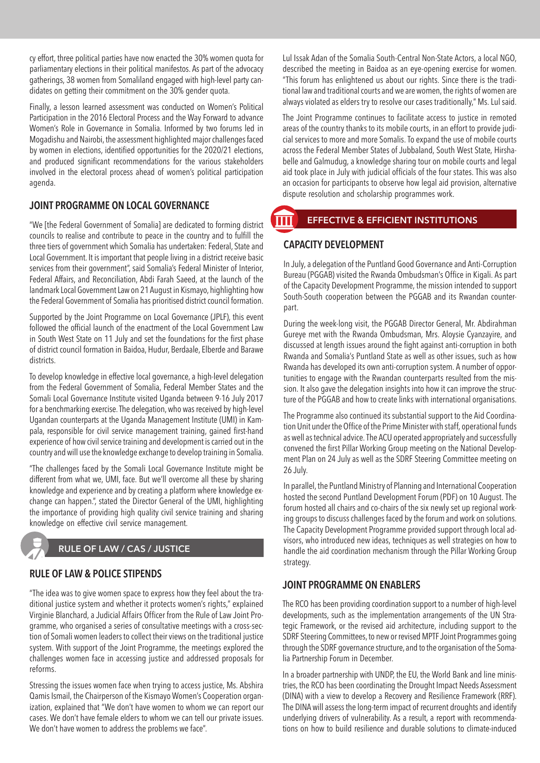cy effort, three political parties have now enacted the 30% women quota for parliamentary elections in their political manifestos. As part of the advocacy gatherings, 38 women from Somaliland engaged with high-level party candidates on getting their commitment on the 30% gender quota.

Finally, a lesson learned assessment was conducted on Women's Political Participation in the 2016 Electoral Process and the Way Forward to advance Women's Role in Governance in Somalia. Informed by two forums led in Mogadishu and Nairobi, the assessment highlighted major challenges faced by women in elections, identified opportunities for the 2020/21 elections, and produced significant recommendations for the various stakeholders involved in the electoral process ahead of women's political participation agenda.

## **JOINT PROGRAMME ON LOCAL GOVERNANCE**

"We [the Federal Government of Somalia] are dedicated to forming district councils to realise and contribute to peace in the country and to fulfill the three tiers of government which Somalia has undertaken: Federal, State and Local Government. It is important that people living in a district receive basic services from their government", said Somalia's Federal Minister of Interior, Federal Affairs, and Reconciliation, Abdi Farah Saeed, at the launch of the landmark Local Government Law on 21 August in Kismayo, highlighting how the Federal Government of Somalia has prioritised district council formation.

Supported by the Joint Programme on Local Governance (JPLF), this event followed the official launch of the enactment of the Local Government Law in South West State on 11 July and set the foundations for the first phase of district council formation in Baidoa, Hudur, Berdaale, Elberde and Barawe districts.

To develop knowledge in effective local governance, a high-level delegation from the Federal Government of Somalia, Federal Member States and the Somali Local Governance Institute visited Uganda between 9-16 July 2017 for a benchmarking exercise. The delegation, who was received by high-level Ugandan counterparts at the Uganda Management Institute (UMI) in Kampala, responsible for civil service management training, gained first-hand experience of how civil service training and development is carried out in the country and will use the knowledge exchange to develop training in Somalia.

"The challenges faced by the Somali Local Governance Institute might be different from what we, UMI, face. But we'll overcome all these by sharing knowledge and experience and by creating a platform where knowledge exchange can happen.", stated the Director General of the UMI, highlighting the importance of providing high quality civil service training and sharing knowledge on effective civil service management.

# **RULE OF LAW / CAS / JUSTICE**

## **RULE OF LAW & POLICE STIPENDS**

"The idea was to give women space to express how they feel about the traditional justice system and whether it protects women's rights," explained Virginie Blanchard, a Judicial Affairs Officer from the Rule of Law Joint Programme, who organised a series of consultative meetings with a cross-section of Somali women leaders to collect their views on the traditional justice system. With support of the Joint Programme, the meetings explored the challenges women face in accessing justice and addressed proposals for reforms.

Stressing the issues women face when trying to access justice, Ms. Abshira Qamis Ismail, the Chairperson of the Kismayo Women's Cooperation organization, explained that "We don't have women to whom we can report our cases. We don't have female elders to whom we can tell our private issues. We don't have women to address the problems we face".

Lul Issak Adan of the Somalia South-Central Non-State Actors, a local NGO, described the meeting in Baidoa as an eye-opening exercise for women. "This forum has enlightened us about our rights. Since there is the traditional law and traditional courts and we are women, the rights of women are always violated as elders try to resolve our cases traditionally," Ms. Lul said.

The Joint Programme continues to facilitate access to justice in remoted areas of the country thanks to its mobile courts, in an effort to provide judicial services to more and more Somalis. To expand the use of mobile courts across the Federal Member States of Jubbaland, South West State, Hirshabelle and Galmudug, a knowledge sharing tour on mobile courts and legal aid took place in July with judicial officials of the four states. This was also an occasion for participants to observe how legal aid provision, alternative dispute resolution and scholarship programmes work.

# **EFFECTIVE & EFFICIENT INSTITUTIONS**

## **CAPACITY DEVELOPMENT**

In July, a delegation of the Puntland Good Governance and Anti-Corruption Bureau (PGGAB) visited the Rwanda Ombudsman's Office in Kigali. As part of the Capacity Development Programme, the mission intended to support South-South cooperation between the PGGAB and its Rwandan counterpart.

During the week-long visit, the PGGAB Director General, Mr. Abdirahman Gureye met with the Rwanda Ombudsman, Mrs. Aloysie Cyanzayire, and discussed at length issues around the fight against anti-corruption in both Rwanda and Somalia's Puntland State as well as other issues, such as how Rwanda has developed its own anti-corruption system. A number of opportunities to engage with the Rwandan counterparts resulted from the mission. It also gave the delegation insights into how it can improve the structure of the PGGAB and how to create links with international organisations.

The Programme also continued its substantial support to the Aid Coordination Unit under the Office of the Prime Minister with staff, operational funds as well as technical advice. The ACU operated appropriately and successfully convened the first Pillar Working Group meeting on the National Development Plan on 24 July as well as the SDRF Steering Committee meeting on 26 July.

In parallel, the Puntland Ministry of Planning and International Cooperation hosted the second Puntland Development Forum (PDF) on 10 August. The forum hosted all chairs and co-chairs of the six newly set up regional working groups to discuss challenges faced by the forum and work on solutions. The Capacity Development Programme provided support through local advisors, who introduced new ideas, techniques as well strategies on how to handle the aid coordination mechanism through the Pillar Working Group strategy.

## **JOINT PROGRAMME ON ENABLERS**

The RCO has been providing coordination support to a number of high-level developments, such as the implementation arrangements of the UN Strategic Framework, or the revised aid architecture, including support to the SDRF Steering Committees, to new or revised MPTF Joint Programmes going through the SDRF governance structure, and to the organisation of the Somalia Partnership Forum in December.

In a broader partnership with UNDP, the EU, the World Bank and line ministries, the RCO has been coordinating the Drought Impact Needs Assessment (DINA) with a view to develop a Recovery and Resilience Framework (RRF). The DINA will assess the long-term impact of recurrent droughts and identify underlying drivers of vulnerability. As a result, a report with recommendations on how to build resilience and durable solutions to climate-induced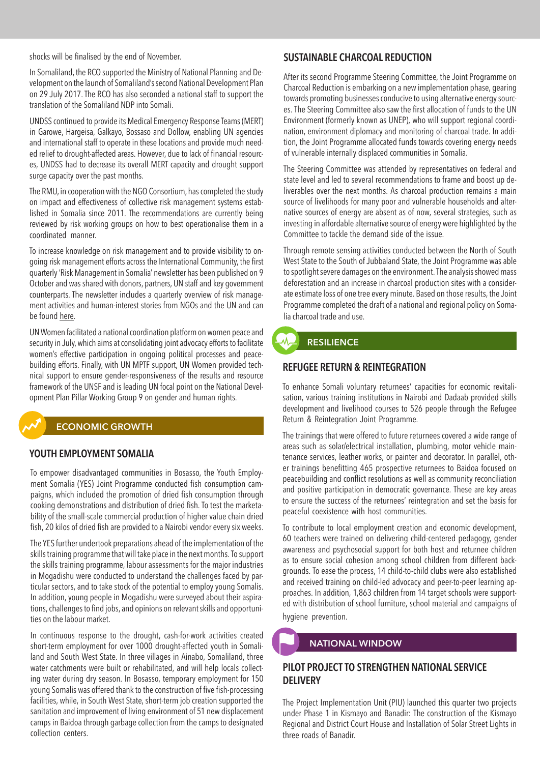shocks will be finalised by the end of November.

In Somaliland, the RCO supported the Ministry of National Planning and Development on the launch of Somaliland's second National Development Plan on 29 July 2017. The RCO has also seconded a national staff to support the translation of the Somaliland NDP into Somali.

UNDSS continued to provide its Medical Emergency Response Teams (MERT) in Garowe, Hargeisa, Galkayo, Bossaso and Dollow, enabling UN agencies and international staff to operate in these locations and provide much needed relief to drought-affected areas. However, due to lack of financial resources, UNDSS had to decrease its overall MERT capacity and drought support surge capacity over the past months.

The RMU, in cooperation with the NGO Consortium, has completed the study on impact and effectiveness of collective risk management systems established in Somalia since 2011. The recommendations are currently being reviewed by risk working groups on how to best operationalise them in a coordinated manner.

To increase knowledge on risk management and to provide visibility to ongoing risk management efforts across the International Community, the first quarterly 'Risk Management in Somalia' newsletter has been published on 9 October and was shared with donors, partners, UN staff and key government counterparts. The newsletter includes a quarterly overview of risk management activities and human-interest stories from NGOs and the UN and can be found [here](http://mailchi.mp/633f1f504dbc/first-edition-of-the-risk-management-in-somalia-newsletter).

UN Women facilitated a national coordination platform on women peace and security in July, which aims at consolidating joint advocacy efforts to facilitate women's effective participation in ongoing political processes and peacebuilding efforts. Finally, with UN MPTF support, UN Women provided technical support to ensure gender-responsiveness of the results and resource framework of the UNSF and is leading UN focal point on the National Development Plan Pillar Working Group 9 on gender and human rights.

#### **ECONOMIC GROWTH**

#### **YOUTH EMPLOYMENT SOMALIA**

To empower disadvantaged communities in Bosasso, the Youth Employment Somalia (YES) Joint Programme conducted fish consumption campaigns, which included the promotion of dried fish consumption through cooking demonstrations and distribution of dried fish. To test the marketability of the small-scale commercial production of higher value chain dried fish, 20 kilos of dried fish are provided to a Nairobi vendor every six weeks.

The YES further undertook preparations ahead of the implementation of the skills training programme that will take place in the next months. To support the skills training programme, labour assessments for the major industries in Mogadishu were conducted to understand the challenges faced by particular sectors, and to take stock of the potential to employ young Somalis. In addition, young people in Mogadishu were surveyed about their aspirations, challenges to find jobs, and opinions on relevant skills and opportunities on the labour market.

In continuous response to the drought, cash-for-work activities created short-term employment for over 1000 drought-affected youth in Somaliland and South West State. In three villages in Ainabo, Somaliland, three water catchments were built or rehabilitated, and will help locals collecting water during dry season. In Bosasso, temporary employment for 150 young Somalis was offered thank to the construction of five fish-processing facilities, while, in South West State, short-term job creation supported the sanitation and improvement of living environment of 51 new displacement camps in Baidoa through garbage collection from the camps to designated collection centers.

#### **SUSTAINABLE CHARCOAL REDUCTION**

After its second Programme Steering Committee, the Joint Programme on Charcoal Reduction is embarking on a new implementation phase, gearing towards promoting businesses conducive to using alternative energy sources. The Steering Committee also saw the first allocation of funds to the UN Environment (formerly known as UNEP), who will support regional coordination, environment diplomacy and monitoring of charcoal trade. In addition, the Joint Programme allocated funds towards covering energy needs of vulnerable internally displaced communities in Somalia.

The Steering Committee was attended by representatives on federal and state level and led to several recommendations to frame and boost up deliverables over the next months. As charcoal production remains a main source of livelihoods for many poor and vulnerable households and alternative sources of energy are absent as of now, several strategies, such as investing in affordable alternative source of energy were highlighted by the Committee to tackle the demand side of the issue.

Through remote sensing activities conducted between the North of South West State to the South of Jubbaland State, the Joint Programme was able to spotlight severe damages on the environment. The analysis showed mass deforestation and an increase in charcoal production sites with a considerate estimate loss of one tree every minute. Based on those results, the Joint Programme completed the draft of a national and regional policy on Somalia charcoal trade and use.

# **RESILIENCE**

#### **REFUGEE RETURN & REINTEGRATION**

To enhance Somali voluntary returnees' capacities for economic revitalisation, various training institutions in Nairobi and Dadaab provided skills development and livelihood courses to 526 people through the Refugee Return & Reintegration Joint Programme.

The trainings that were offered to future returnees covered a wide range of areas such as solar/electrical installation, plumbing, motor vehicle maintenance services, leather works, or painter and decorator. In parallel, other trainings benefitting 465 prospective returnees to Baidoa focused on peacebuilding and conflict resolutions as well as community reconciliation and positive participation in democratic governance. These are key areas to ensure the success of the returnees' reintegration and set the basis for peaceful coexistence with host communities.

To contribute to local employment creation and economic development, 60 teachers were trained on delivering child-centered pedagogy, gender awareness and psychosocial support for both host and returnee children as to ensure social cohesion among school children from different backgrounds. To ease the process, 14 child-to-child clubs were also established and received training on child-led advocacy and peer-to-peer learning approaches. In addition, 1,863 children from 14 target schools were supported with distribution of school furniture, school material and campaigns of hygiene prevention.

#### **NATIONAL WINDOW**

## **PILOT PROJECT TO STRENGTHEN NATIONAL SERVICE DELIVERY**

The Project Implementation Unit (PIU) launched this quarter two projects under Phase 1 in Kismayo and Banadir: The construction of the Kismayo Regional and District Court House and Installation of Solar Street Lights in three roads of Banadir.